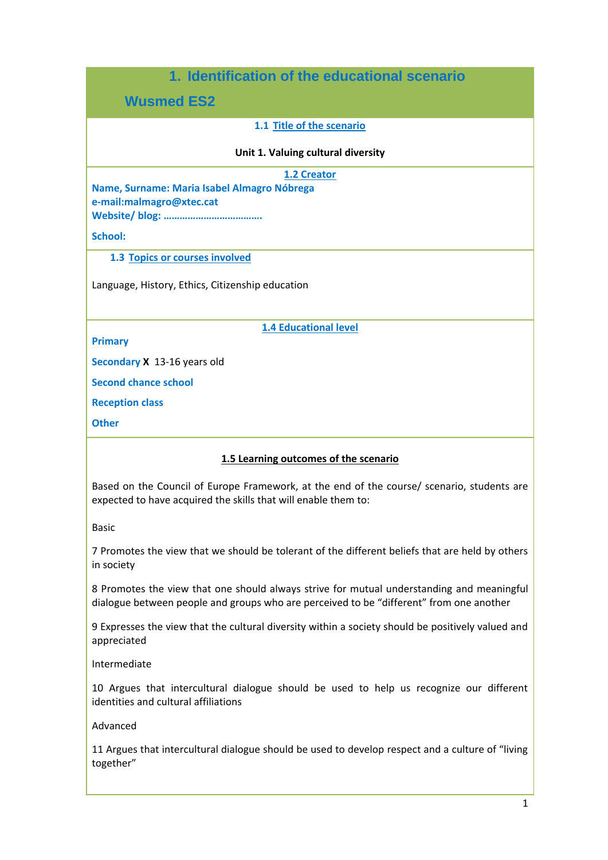# **1. Identification of the educational scenario**

**Wusmed ES2**

# **1.1 Title of the scenario**

#### **Unit 1. Valuing cultural diversity**

**1.2 Creator**

**Name, Surname: Maria Isabel Almagro Nóbrega e-mail:malmagro@xtec.cat Website/ blog: ……………………………….**

**School:** 

**1.3 Topics or courses involved**

Language, History, Ethics, Citizenship education

**1.4 Educational level** 

**Primary**

**Secondary X** 13-16 years old

**Second chance school**

**Reception class**

**Other** 

## **1.5 Learning outcomes of the scenario**

Based on the Council of Europe Framework, at the end of the course/ scenario, students are expected to have acquired the skills that will enable them to:

Basic

7 Promotes the view that we should be tolerant of the different beliefs that are held by others in society

8 Promotes the view that one should always strive for mutual understanding and meaningful dialogue between people and groups who are perceived to be "different" from one another

9 Expresses the view that the cultural diversity within a society should be positively valued and appreciated

Intermediate

10 Argues that intercultural dialogue should be used to help us recognize our different identities and cultural affiliations

Advanced

11 Argues that intercultural dialogue should be used to develop respect and a culture of "living together"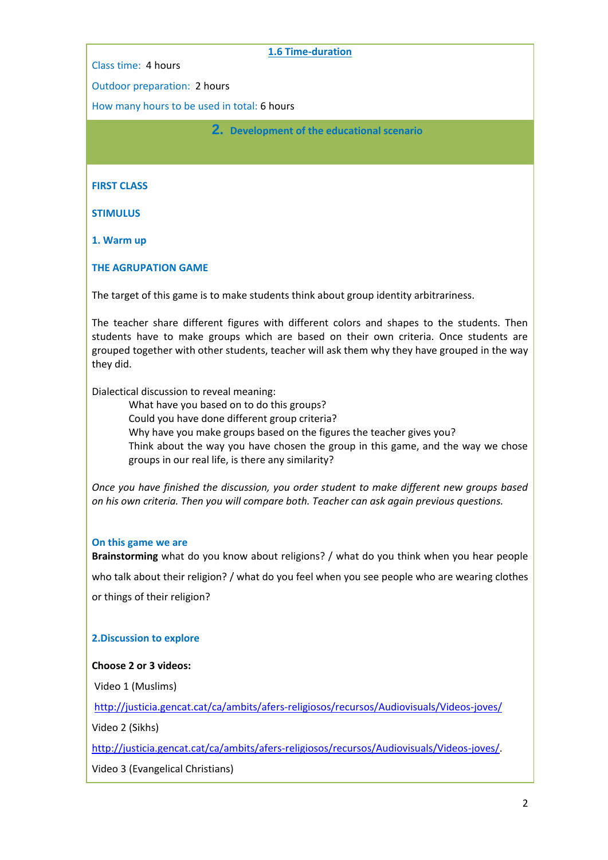Class time: 4 hours

#### **1.6 Time-duration**

Outdoor preparation: 2 hours

How many hours to be used in total: 6 hours

**2. Development of the educational scenario**

**FIRST CLASS**

**STIMULUS**

**1. Warm up**

**THE AGRUPATION GAME**

The target of this game is to make students think about group identity arbitrariness.

The teacher share different figures with different colors and shapes to the students. Then students have to make groups which are based on their own criteria. Once students are grouped together with other students, teacher will ask them why they have grouped in the way they did.

Dialectical discussion to reveal meaning:

What have you based on to do this groups? Could you have done different group criteria? Why have you make groups based on the figures the teacher gives you? Think about the way you have chosen the group in this game, and the way we chose groups in our real life, is there any similarity?

*Once you have finished the discussion, you order student to make different new groups based on his own criteria. Then you will compare both. Teacher can ask again previous questions.*

#### **On this game we are**

**Brainstorming** what do you know about religions? / what do you think when you hear people who talk about their religion? / what do you feel when you see people who are wearing clothes or things of their religion?

## **2.Discussion to explore**

## **Choose 2 or 3 videos:**

Video 1 (Muslims)

<http://justicia.gencat.cat/ca/ambits/afers-religiosos/recursos/Audiovisuals/Videos-joves/>

Video 2 (Sikhs)

[http://justicia.gencat.cat/ca/ambits/afers-religiosos/recursos/Audiovisuals/Videos-joves/.](http://justicia.gencat.cat/ca/ambits/afers-religiosos/recursos/Audiovisuals/Videos-joves/)

Video 3 (Evangelical Christians)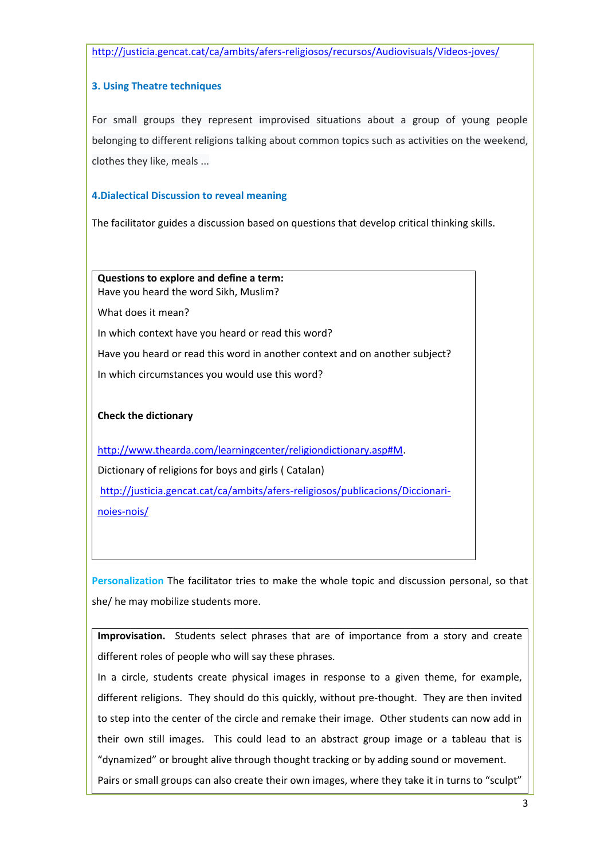<http://justicia.gencat.cat/ca/ambits/afers-religiosos/recursos/Audiovisuals/Videos-joves/>

## **3. Using Theatre techniques**

For small groups they represent improvised situations about a group of young people belonging to different religions talking about common topics such as activities on the weekend, clothes they like, meals ...

## **4.Dialectical Discussion to reveal meaning**

The facilitator guides a discussion based on questions that develop critical thinking skills.

**Questions to explore and define a term:**  Have you heard the word Sikh, Muslim?

What does it mean?

In which context have you heard or read this word?

Have you heard or read this word in another context and on another subject?

In which circumstances you would use this word?

# **Check the dictionary**

[http://www.thearda.com/learningcenter/religiondictionary.asp#M.](http://www.thearda.com/learningcenter/religiondictionary.asp#M) Dictionary of religions for boys and girls ( Catalan) [http://justicia.gencat.cat/ca/ambits/afers-religiosos/publicacions/Diccionari](http://justicia.gencat.cat/ca/ambits/afers-religiosos/publicacions/Diccionari-noies-nois/)[noies-nois/](http://justicia.gencat.cat/ca/ambits/afers-religiosos/publicacions/Diccionari-noies-nois/)

**Personalization** The facilitator tries to make the whole topic and discussion personal, so that she/ he may mobilize students more.

**Improvisation.** Students select phrases that are of importance from a story and create different roles of people who will say these phrases.

In a circle, students create physical images in response to a given theme, for example, different religions. They should do this quickly, without pre-thought. They are then invited to step into the center of the circle and remake their image. Other students can now add in their own still images. This could lead to an abstract group image or a tableau that is "dynamized" or brought alive through thought tracking or by adding sound or movement. Pairs or small groups can also create their own images, where they take it in turns to "sculpt"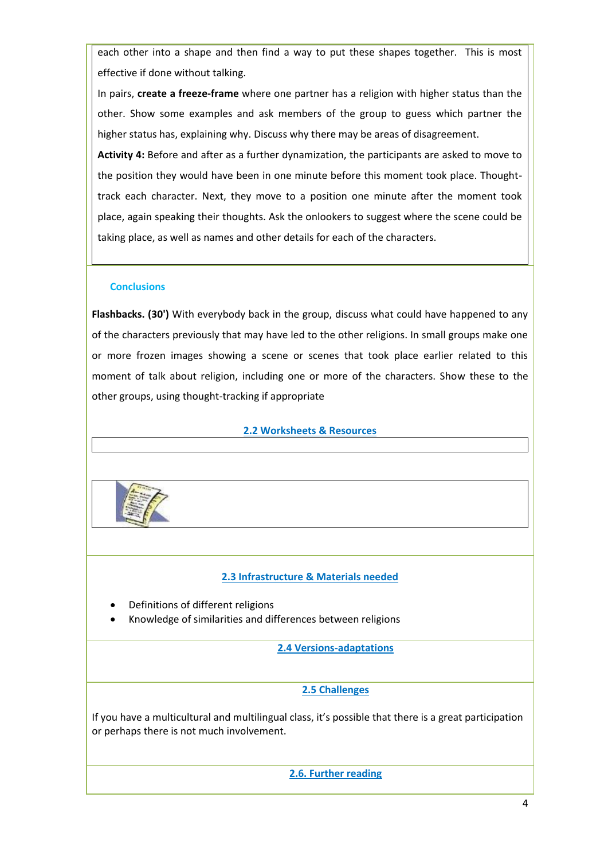each other into a shape and then find a way to put these shapes together. This is most effective if done without talking.

In pairs, **create a freeze-frame** where one partner has a religion with higher status than the other. Show some examples and ask members of the group to guess which partner the higher status has, explaining why. Discuss why there may be areas of disagreement.

**Activity 4:** Before and after as a further dynamization, the participants are asked to move to the position they would have been in one minute before this moment took place. Thoughttrack each character. Next, they move to a position one minute after the moment took place, again speaking their thoughts. Ask the onlookers to suggest where the scene could be taking place, as well as names and other details for each of the characters.

#### **Conclusions**

**Flashbacks. (30')** With everybody back in the group, discuss what could have happened to any of the characters previously that may have led to the other religions. In small groups make one or more frozen images showing a scene or scenes that took place earlier related to this moment of talk about religion, including one or more of the characters. Show these to the other groups, using thought-tracking if appropriate

## **2.2 Worksheets & Resources**



## **2.3 Infrastructure & Materials needed**

- Definitions of different religions
- Knowledge of similarities and differences between religions

**2.4 Versions-adaptations**

## **2.5 Challenges**

If you have a multicultural and multilingual class, it's possible that there is a great participation or perhaps there is not much involvement.

**2.6. Further reading**